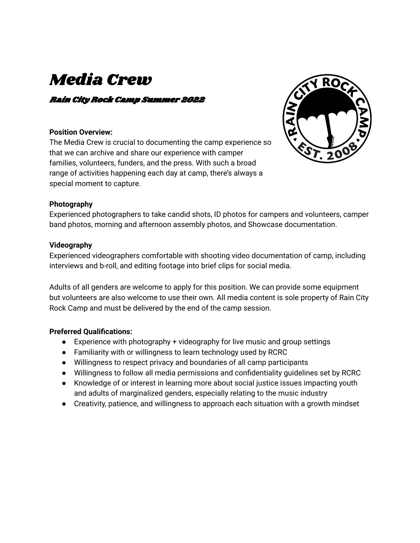# Media Crew

### Rain City Rock Camp Summer 2022

#### **Position Overview:**

The Media Crew is crucial to documenting the camp experience so that we can archive and share our experience with camper families, volunteers, funders, and the press. With such a broad range of activities happening each day at camp, there's always a special moment to capture.



#### **Photography**

Experienced photographers to take candid shots, ID photos for campers and volunteers, camper band photos, morning and afternoon assembly photos, and Showcase documentation.

#### **Videography**

Experienced videographers comfortable with shooting video documentation of camp, including interviews and b-roll, and editing footage into brief clips for social media.

Adults of all genders are welcome to apply for this position. We can provide some equipment but volunteers are also welcome to use their own. All media content is sole property of Rain City Rock Camp and must be delivered by the end of the camp session.

#### **Preferred Qualifications:**

- Experience with photography + videography for live music and group settings
- Familiarity with or willingness to learn technology used by RCRC
- Willingness to respect privacy and boundaries of all camp participants
- Willingness to follow all media permissions and confidentiality guidelines set by RCRC
- Knowledge of or interest in learning more about social justice issues impacting youth and adults of marginalized genders, especially relating to the music industry
- Creativity, patience, and willingness to approach each situation with a growth mindset